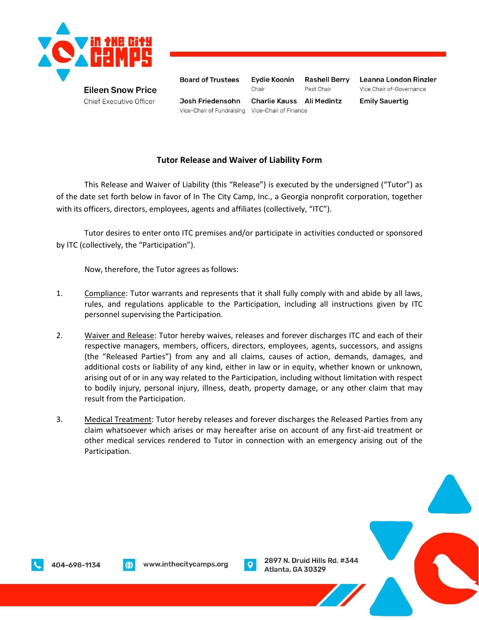

**Chief Executive Officer** 

**Board of Trustees Eydie Koonin Rashell Berry** Leanna London Rinzler Chair Past Chair Vice Chair of-Governance Josh Friedensohn **Charlie Kauss** Ali Medintz **Emily Sauertig** Vice-Chair of Fundraising Vice-Chair of Finance

## **Tutor Release and Waiver of Liability Form**

This Release and Waiver of Liability (this "Release") is executed by the undersigned ("Tutor") as of the date set forth below in favor of In The City Camp, Inc., a Georgia nonprofit corporation, together with its officers, directors, employees, agents and affiliates (collectively, "ITC").

Tutor desires to enter onto ITC premises and/or participate in activities conducted or sponsored by ITC (collectively, the "Participation").

Now, therefore, the Tutor agrees as follows:

- 1. Compliance: Tutor warrants and represents that it shall fully comply with and abide by all laws, rules, and regulations applicable to the Participation, including all instructions given by ITC personnel supervising the Participation.
- 2. Waiver and Release: Tutor hereby waives, releases and forever discharges ITC and each of their respective managers, members, officers, directors, employees, agents, successors, and assigns (the "Released Parties") from any and all claims, causes of action, demands, damages, and additional costs or liability of any kind, either in law or in equity, whether known or unknown, arising out of or in any way related to the Participation, including without limitation with respect to bodily injury, personal injury, illness, death, property damage, or any other claim that may result from the Participation.
- 3. Medical Treatment: Tutor hereby releases and forever discharges the Released Parties from any claim whatsoever which arises or may hereafter arise on account of any first-aid treatment or other medical services rendered to Tutor in connection with an emergency arising out of the Participation.





2897 N. Druid Hills Rd. #344 Atlanta, GA 30329